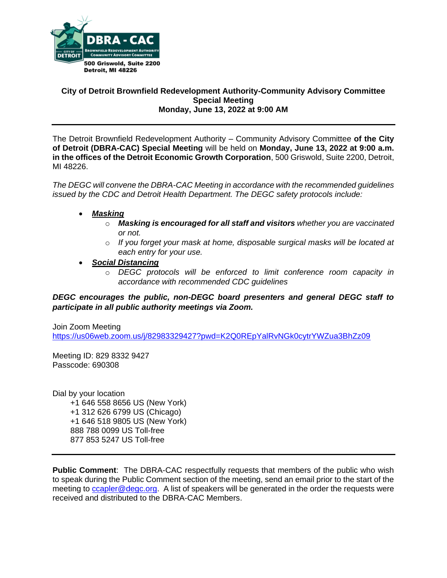

### **City of Detroit Brownfield Redevelopment Authority-Community Advisory Committee Special Meeting Monday, June 13, 2022 at 9:00 AM**

The Detroit Brownfield Redevelopment Authority – Community Advisory Committee **of the City of Detroit (DBRA-CAC) Special Meeting** will be held on **Monday, June 13, 2022 at 9:00 a.m. in the offices of the Detroit Economic Growth Corporation**, 500 Griswold, Suite 2200, Detroit, MI 48226.

*The DEGC will convene the DBRA-CAC Meeting in accordance with the recommended guidelines issued by the CDC and Detroit Health Department. The DEGC safety protocols include:*

- *Masking*
	- o *Masking is encouraged for all staff and visitors whether you are vaccinated or not.*
	- o *If you forget your mask at home, disposable surgical masks will be located at each entry for your use.*
- *Social Distancing* 
	- o *DEGC protocols will be enforced to limit conference room capacity in accordance with recommended CDC guidelines*

## *DEGC encourages the public, non-DEGC board presenters and general DEGC staff to participate in all public authority meetings via Zoom.*

Join Zoom Meeting <https://us06web.zoom.us/j/82983329427?pwd=K2Q0REpYalRvNGk0cytrYWZua3BhZz09>

Meeting ID: 829 8332 9427 Passcode: 690308

Dial by your location +1 646 558 8656 US (New York) +1 312 626 6799 US (Chicago) +1 646 518 9805 US (New York) 888 788 0099 US Toll-free 877 853 5247 US Toll-free

**Public Comment**: The DBRA-CAC respectfully requests that members of the public who wish to speak during the Public Comment section of the meeting, send an email prior to the start of the meeting to [ccapler@degc.org.](mailto:ccapler@degc.org) A list of speakers will be generated in the order the requests were received and distributed to the DBRA-CAC Members.